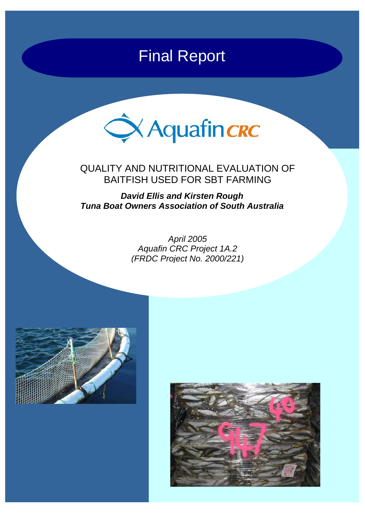# Final Report



# QUALITY AND NUTRITIONAL EVALUATION OF BAITFISH USED FOR SBT FARMING

*David Ellis and Kirsten Rough Tuna Boat Owners Association of South Australia* 

> *April 2005 Aquafin CRC Project 1A.2 (FRDC Project No. 2000/221)*



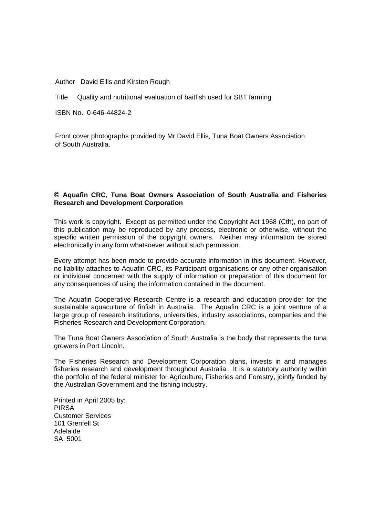Author David Ellis and Kirsten Rough

Title Quality and nutritional evaluation of baitfish used for SBT farming

ISBN No. 0-646-44824-2

Front cover photographs provided by Mr David Ellis, Tuna Boat Owners Association of South Australia.

#### **© Aquafin CRC, Tuna Boat Owners Association of South Australia and Fisheries Research and Development Corporation**

This work is copyright. Except as permitted under the Copyright Act 1968 (Cth), no part of this publication may be reproduced by any process, electronic or otherwise, without the specific written permission of the copyright owners. Neither may information be stored electronically in any form whatsoever without such permission.

Every attempt has been made to provide accurate information in this document. However, no liability attaches to Aquafin CRC, its Participant organisations or any other organisation or individual concerned with the supply of information or preparation of this document for any consequences of using the information contained in the document.

The Aquafin Cooperative Research Centre is a research and education provider for the sustainable aquaculture of finfish in Australia. The Aquafin CRC is a joint venture of a large group of research institutions, universities, industry associations, companies and the Fisheries Research and Development Corporation.

The Tuna Boat Owners Association of South Australia is the body that represents the tuna growers in Port Lincoln.

The Fisheries Research and Development Corporation plans, invests in and manages fisheries research and development throughout Australia. It is a statutory authority within the portfolio of the federal minister for Agriculture, Fisheries and Forestry, jointly funded by the Australian Government and the fishing industry.

Printed in April 2005 by: PIRSA Customer Services 101 Grenfell St Adelaide SA 5001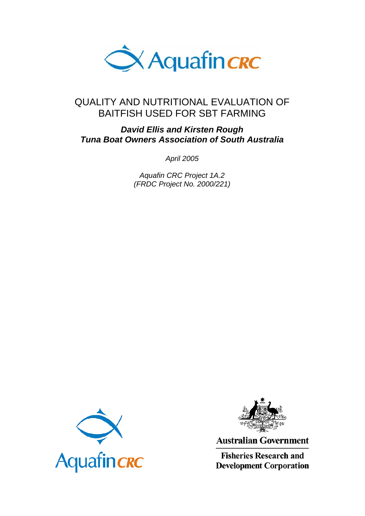

# QUALITY AND NUTRITIONAL EVALUATION OF BAITFISH USED FOR SBT FARMING

# *David Ellis and Kirsten Rough Tuna Boat Owners Association of South Australia*

*April 2005* 

*Aquafin CRC Project 1A.2 (FRDC Project No. 2000/221)*





**Australian Government** 

**Fisheries Research and Development Corporation**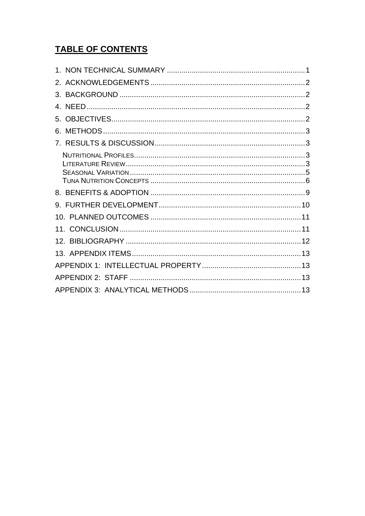# **TABLE OF CONTENTS**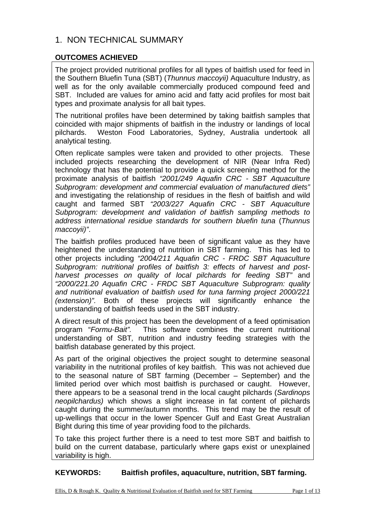# 1. NON TECHNICAL SUMMARY

### **OUTCOMES ACHIEVED**

The project provided nutritional profiles for all types of baitfish used for feed in the Southern Bluefin Tuna (SBT) (*Thunnus maccoyii)* Aquaculture Industry, as well as for the only available commercially produced compound feed and SBT. Included are values for amino acid and fatty acid profiles for most bait types and proximate analysis for all bait types.

The nutritional profiles have been determined by taking baitfish samples that coincided with major shipments of baitfish in the industry or landings of local pilchards. Weston Food Laboratories, Sydney, Australia undertook all analytical testing.

Often replicate samples were taken and provided to other projects. These included projects researching the development of NIR (Near Infra Red) technology that has the potential to provide a quick screening method for the proximate analysis of baitfish *"2001/249 Aquafin CRC - SBT Aquaculture Subprogram: development and commercial evaluation of manufactured diets"*  and investigating the relationship of residues in the flesh of baitfish and wild caught and farmed SBT *"2003/227 Aquafin CRC - SBT Aquaculture Subprogram: development and validation of baitfish sampling methods to address international residue standards for southern bluefin tuna* (*Thunnus maccoyii)"*.

The baitfish profiles produced have been of significant value as they have heightened the understanding of nutrition in SBT farming. This has led to other projects including *"2004/211 Aquafin CRC - FRDC SBT Aquaculture Subprogram: nutritional profiles of baitfish 3: effects of harvest and postharvest processes on quality of local pilchards for feeding SBT"* and *"2000/221.20 Aquafin CRC - FRDC SBT Aquaculture Subprogram: quality and nutritional evaluation of baitfish used for tuna farming project 2000/221 (extension)".* Both of these projects will significantly enhance the understanding of baitfish feeds used in the SBT industry.

A direct result of this project has been the development of a feed optimisation program "*Formu-Bait".* This software combines the current nutritional understanding of SBT*,* nutrition and industry feeding strategies with the baitfish database generated by this project.

As part of the original objectives the project sought to determine seasonal variability in the nutritional profiles of key baitfish. This was not achieved due to the seasonal nature of SBT farming (December – September) and the limited period over which most baitfish is purchased or caught. However, there appears to be a seasonal trend in the local caught pilchards (*Sardinops neopilchardus)* which shows a slight increase in fat content of pilchards caught during the summer/autumn months. This trend may be the result of up-wellings that occur in the lower Spencer Gulf and East Great Australian Bight during this time of year providing food to the pilchards.

To take this project further there is a need to test more SBT and baitfish to build on the current database, particularly where gaps exist or unexplained variability is high.

**KEYWORDS: Baitfish profiles, aquaculture, nutrition, SBT farming.**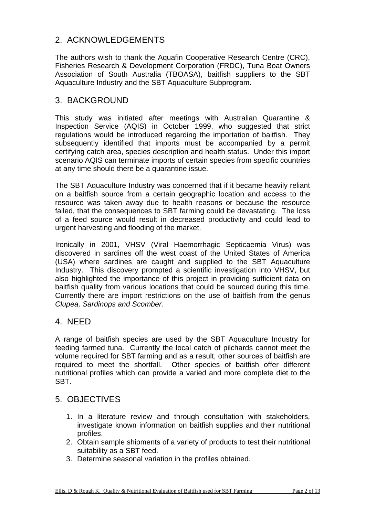# 2. ACKNOWLEDGEMENTS

The authors wish to thank the Aquafin Cooperative Research Centre (CRC), Fisheries Research & Development Corporation (FRDC), Tuna Boat Owners Association of South Australia (TBOASA), baitfish suppliers to the SBT Aquaculture Industry and the SBT Aquaculture Subprogram.

### 3. BACKGROUND

This study was initiated after meetings with Australian Quarantine & Inspection Service (AQIS) in October 1999, who suggested that strict regulations would be introduced regarding the importation of baitfish. They subsequently identified that imports must be accompanied by a permit certifying catch area, species description and health status. Under this import scenario AQIS can terminate imports of certain species from specific countries at any time should there be a quarantine issue.

The SBT Aquaculture Industry was concerned that if it became heavily reliant on a baitfish source from a certain geographic location and access to the resource was taken away due to health reasons or because the resource failed, that the consequences to SBT farming could be devastating. The loss of a feed source would result in decreased productivity and could lead to urgent harvesting and flooding of the market.

Ironically in 2001, VHSV (Viral Haemorrhagic Septicaemia Virus) was discovered in sardines off the west coast of the United States of America (USA) where sardines are caught and supplied to the SBT Aquaculture Industry. This discovery prompted a scientific investigation into VHSV, but also highlighted the importance of this project in providing sufficient data on baitfish quality from various locations that could be sourced during this time. Currently there are import restrictions on the use of baitfish from the genus *Clupea, Sardinops and Scomber.*

### 4. NEED

A range of baitfish species are used by the SBT Aquaculture Industry for feeding farmed tuna. Currently the local catch of pilchards cannot meet the volume required for SBT farming and as a result, other sources of baitfish are required to meet the shortfall. Other species of baitfish offer different nutritional profiles which can provide a varied and more complete diet to the SBT.

### 5. OBJECTIVES

- 1. In a literature review and through consultation with stakeholders, investigate known information on baitfish supplies and their nutritional profiles.
- 2. Obtain sample shipments of a variety of products to test their nutritional suitability as a SBT feed.
- 3. Determine seasonal variation in the profiles obtained.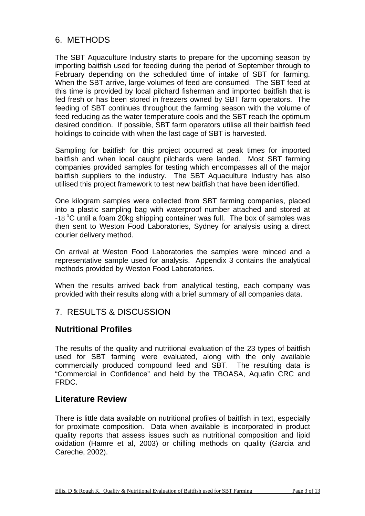# 6. METHODS

The SBT Aquaculture Industry starts to prepare for the upcoming season by importing baitfish used for feeding during the period of September through to February depending on the scheduled time of intake of SBT for farming. When the SBT arrive, large volumes of feed are consumed. The SBT feed at this time is provided by local pilchard fisherman and imported baitfish that is fed fresh or has been stored in freezers owned by SBT farm operators. The feeding of SBT continues throughout the farming season with the volume of feed reducing as the water temperature cools and the SBT reach the optimum desired condition. If possible, SBT farm operators utilise all their baitfish feed holdings to coincide with when the last cage of SBT is harvested.

Sampling for baitfish for this project occurred at peak times for imported baitfish and when local caught pilchards were landed. Most SBT farming companies provided samples for testing which encompasses all of the major baitfish suppliers to the industry. The SBT Aquaculture Industry has also utilised this project framework to test new baitfish that have been identified.

One kilogram samples were collected from SBT farming companies, placed into a plastic sampling bag with waterproof number attached and stored at  $-18\,^{\circ}$ C until a foam 20kg shipping container was full. The box of samples was then sent to Weston Food Laboratories, Sydney for analysis using a direct courier delivery method.

On arrival at Weston Food Laboratories the samples were minced and a representative sample used for analysis. Appendix 3 contains the analytical methods provided by Weston Food Laboratories.

When the results arrived back from analytical testing, each company was provided with their results along with a brief summary of all companies data.

# 7. RESULTS & DISCUSSION

# **Nutritional Profiles**

The results of the quality and nutritional evaluation of the 23 types of baitfish used for SBT farming were evaluated, along with the only available commercially produced compound feed and SBT. The resulting data is "Commercial in Confidence" and held by the TBOASA, Aquafin CRC and FRDC.

### **Literature Review**

There is little data available on nutritional profiles of baitfish in text, especially for proximate composition. Data when available is incorporated in product quality reports that assess issues such as nutritional composition and lipid oxidation (Hamre et al, 2003) or chilling methods on quality (Garcia and Careche, 2002).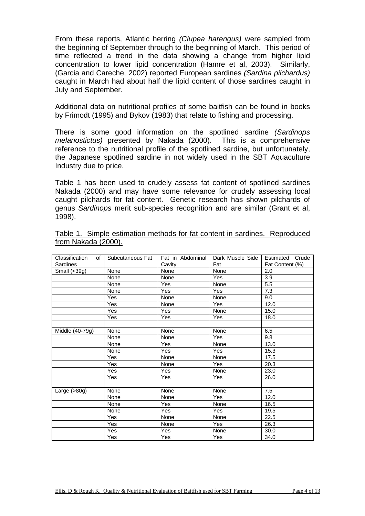From these reports, Atlantic herring *(Clupea harengus)* were sampled from the beginning of September through to the beginning of March. This period of time reflected a trend in the data showing a change from higher lipid concentration to lower lipid concentration (Hamre et al, 2003). Similarly, (Garcia and Careche, 2002) reported European sardines *(Sardina pilchardus)*  caught in March had about half the lipid content of those sardines caught in July and September.

Additional data on nutritional profiles of some baitfish can be found in books by Frimodt (1995) and Bykov (1983) that relate to fishing and processing.

There is some good information on the spotlined sardine *(Sardinops melanostictus)* presented by Nakada (2000). This is a comprehensive reference to the nutritional profile of the spotlined sardine, but unfortunately, the Japanese spotlined sardine in not widely used in the SBT Aquaculture Industry due to price.

Table 1 has been used to crudely assess fat content of spotlined sardines Nakada (2000) and may have some relevance for crudely assessing local caught pilchards for fat content. Genetic research has shown pilchards of genus *Sardinops* merit sub-species recognition and are similar (Grant et al, 1998).

| Sardines        | Classification of Subcutaneous Fat I | Fat in Abdominal<br>Cavity | Dark Muscle Side<br>Fat | Estimated Crude<br>Fat Content (%) |  |
|-----------------|--------------------------------------|----------------------------|-------------------------|------------------------------------|--|
| Small $(<39g)$  | None                                 | None                       | None                    | 2.0                                |  |
|                 | None                                 | None                       | Yes                     | 3.9                                |  |
|                 | None                                 | Yes                        | None                    | 5.5                                |  |
|                 | None                                 | <b>Yes</b>                 | <b>Yes</b>              | 7.3                                |  |
|                 | Yes                                  | None                       | None                    | 9.0                                |  |
|                 | Yes                                  | None                       | Yes                     | 12.0                               |  |
|                 | <b>Yes</b>                           | <b>Yes</b>                 | None                    | 15.0                               |  |
|                 | Yes                                  | Yes                        | Yes                     | 18.0                               |  |
|                 |                                      |                            |                         |                                    |  |
| Middle (40-79g) | None                                 | None                       | None                    | 6.5                                |  |
|                 | None                                 | None                       | Yes                     | 9.8                                |  |
|                 | None                                 | Yes                        | None                    | 13.0                               |  |
|                 | None                                 | <b>Yes</b>                 | Yes                     | 15.3                               |  |
|                 | Yes                                  | None                       | None                    | 17.5                               |  |
|                 | Yes                                  | None                       | Yes                     | 20.3                               |  |
|                 | Yes                                  | <b>Yes</b>                 | None                    | 23.0                               |  |
|                 | <b>Yes</b>                           | Yes                        | Yes                     | 26.0                               |  |
|                 |                                      |                            |                         |                                    |  |
| Large $(>80g)$  | None                                 | None                       | None                    | 7.5                                |  |
|                 | None                                 | None                       | Yes                     | 12.0                               |  |
|                 | None                                 | <b>Yes</b>                 | None                    | 16.5                               |  |
|                 | None                                 | Yes                        | Yes                     | 19.5                               |  |
|                 | Yes                                  | None                       | None                    | 22.5                               |  |
|                 | Yes                                  | None                       | Yes                     | 26.3                               |  |
|                 | Yes                                  | Yes                        | None                    | 30.0                               |  |
|                 | Yes                                  | Yes                        | Yes                     | 34.0                               |  |

|                     |  |  |  | Table 1. Simple estimation methods for fat content in sardines. Reproduced |
|---------------------|--|--|--|----------------------------------------------------------------------------|
| from Nakada (2000). |  |  |  |                                                                            |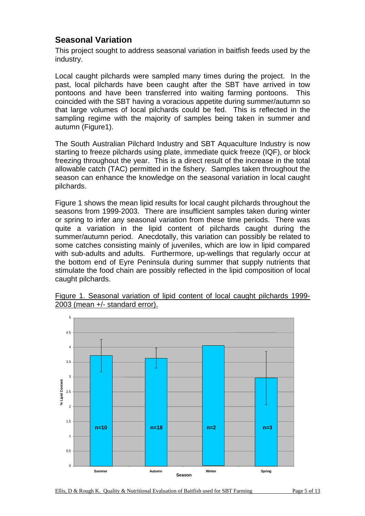# **Seasonal Variation**

This project sought to address seasonal variation in baitfish feeds used by the industry.

Local caught pilchards were sampled many times during the project. In the past, local pilchards have been caught after the SBT have arrived in tow pontoons and have been transferred into waiting farming pontoons. This coincided with the SBT having a voracious appetite during summer/autumn so that large volumes of local pilchards could be fed. This is reflected in the sampling regime with the majority of samples being taken in summer and autumn (Figure1).

The South Australian Pilchard Industry and SBT Aquaculture Industry is now starting to freeze pilchards using plate, immediate quick freeze (IQF), or block freezing throughout the year. This is a direct result of the increase in the total allowable catch (TAC) permitted in the fishery. Samples taken throughout the season can enhance the knowledge on the seasonal variation in local caught pilchards.

Figure 1 shows the mean lipid results for local caught pilchards throughout the seasons from 1999-2003. There are insufficient samples taken during winter or spring to infer any seasonal variation from these time periods. There was quite a variation in the lipid content of pilchards caught during the summer/autumn period. Anecdotally, this variation can possibly be related to some catches consisting mainly of juveniles, which are low in lipid compared with sub-adults and adults. Furthermore, up-wellings that regularly occur at the bottom end of Eyre Peninsula during summer that supply nutrients that stimulate the food chain are possibly reflected in the lipid composition of local caught pilchards.



Figure 1. Seasonal variation of lipid content of local caught pilchards 1999- 2003 (mean +/- standard error).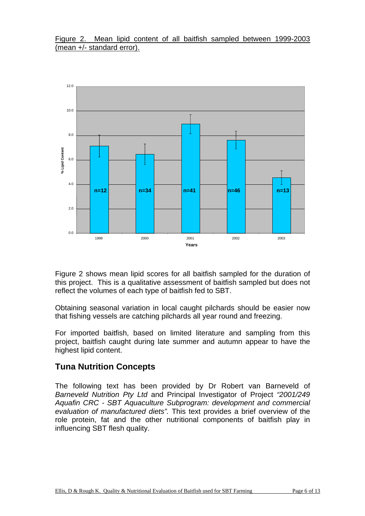### Figure 2. Mean lipid content of all baitfish sampled between 1999-2003 (mean +/- standard error).



Figure 2 shows mean lipid scores for all baitfish sampled for the duration of this project. This is a qualitative assessment of baitfish sampled but does not reflect the volumes of each type of baitfish fed to SBT.

Obtaining seasonal variation in local caught pilchards should be easier now that fishing vessels are catching pilchards all year round and freezing.

For imported baitfish, based on limited literature and sampling from this project, baitfish caught during late summer and autumn appear to have the highest lipid content.

### **Tuna Nutrition Concepts**

The following text has been provided by Dr Robert van Barneveld of *Barneveld Nutrition Pty Ltd* and Principal Investigator of Project *"2001/249 Aquafin CRC - SBT Aquaculture Subprogram: development and commercial evaluation of manufactured diets".* This text provides a brief overview of the role protein, fat and the other nutritional components of baitfish play in influencing SBT flesh quality.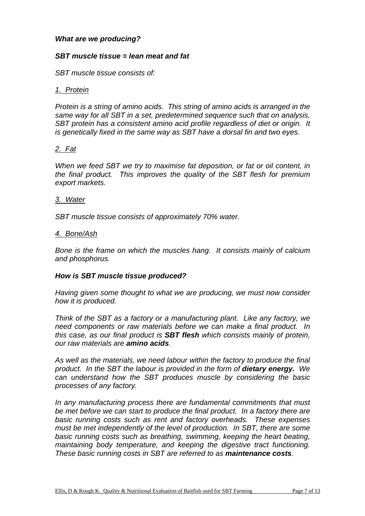#### *What are we producing?*

#### *SBT muscle tissue = lean meat and fat*

*SBT muscle tissue consists of:* 

#### *1. Protein*

*Protein is a string of amino acids. This string of amino acids is arranged in the same way for all SBT in a set, predetermined sequence such that on analysis, SBT protein has a consistent amino acid profile regardless of diet or origin. It is genetically fixed in the same way as SBT have a dorsal fin and two eyes.* 

#### *2. Fat*

*When we feed SBT we try to maximise fat deposition, or fat or oil content, in the final product. This improves the quality of the SBT flesh for premium export markets.* 

#### *3. Water*

*SBT muscle tissue consists of approximately 70% water.* 

#### *4. Bone/Ash*

*Bone is the frame on which the muscles hang. It consists mainly of calcium and phosphorus.* 

#### *How is SBT muscle tissue produced?*

*Having given some thought to what we are producing, we must now consider how it is produced.* 

*Think of the SBT as a factory or a manufacturing plant. Like any factory, we need components or raw materials before we can make a final product. In this case, as our final product is SBT flesh which consists mainly of protein, our raw materials are amino acids.* 

*As well as the materials, we need labour within the factory to produce the final product. In the SBT the labour is provided in the form of dietary energy. We can understand how the SBT produces muscle by considering the basic processes of any factory.* 

*In any manufacturing process there are fundamental commitments that must be met before we can start to produce the final product. In a factory there are basic running costs such as rent and factory overheads. These expenses must be met independently of the level of production. In SBT, there are some basic running costs such as breathing, swimming, keeping the heart beating, maintaining body temperature, and keeping the digestive tract functioning. These basic running costs in SBT are referred to as maintenance costs.*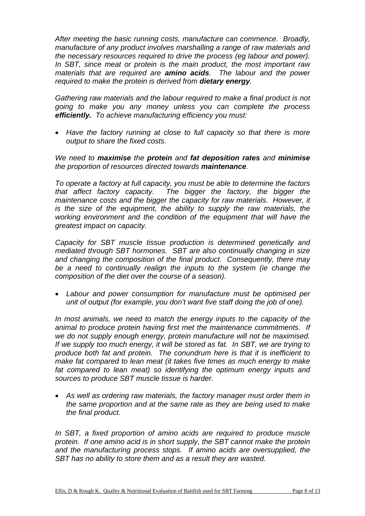*After meeting the basic running costs, manufacture can commence. Broadly, manufacture of any product involves marshalling a range of raw materials and the necessary resources required to drive the process (eg labour and power). In SBT, since meat or protein is the main product, the most important raw materials that are required are amino acids. The labour and the power required to make the protein is derived from dietary energy.* 

*Gathering raw materials and the labour required to make a final product is not going to make you any money unless you can complete the process efficiently. To achieve manufacturing efficiency you must:* 

• *Have the factory running at close to full capacity so that there is more output to share the fixed costs.* 

*We need to maximise the protein and fat deposition rates and minimise the proportion of resources directed towards maintenance.* 

*To operate a factory at full capacity, you must be able to determine the factors that affect factory capacity. The bigger the factory, the bigger the maintenance costs and the bigger the capacity for raw materials. However, it is the size of the equipment, the ability to supply the raw materials, the working environment and the condition of the equipment that will have the greatest impact on capacity.* 

*Capacity for SBT muscle tissue production is determined genetically and mediated through SBT hormones. SBT are also continually changing in size and changing the composition of the final product. Consequently, there may be a need to continually realign the inputs to the system (ie change the composition of the diet over the course of a season).* 

• *Labour and power consumption for manufacture must be optimised per unit of output (for example, you don't want five staff doing the job of one).* 

*In most animals, we need to match the energy inputs to the capacity of the animal to produce protein having first met the maintenance commitments. If we do not supply enough energy, protein manufacture will not be maximised. If we supply too much energy, it will be stored as fat. In SBT, we are trying to produce both fat and protein. The conundrum here is that it is inefficient to make fat compared to lean meat (it takes five times as much energy to make fat compared to lean meat) so identifying the optimum energy inputs and sources to produce SBT muscle tissue is harder.* 

• *As well as ordering raw materials, the factory manager must order them in the same proportion and at the same rate as they are being used to make the final product.* 

*In SBT, a fixed proportion of amino acids are required to produce muscle protein. If one amino acid is in short supply, the SBT cannot make the protein and the manufacturing process stops. If amino acids are oversupplied, the SBT has no ability to store them and as a result they are wasted.*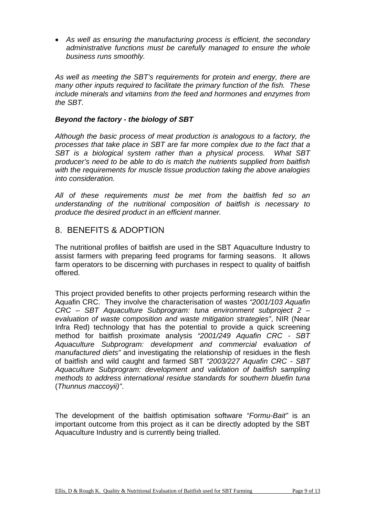• *As well as ensuring the manufacturing process is efficient, the secondary administrative functions must be carefully managed to ensure the whole business runs smoothly.* 

*As well as meeting the SBT's requirements for protein and energy, there are many other inputs required to facilitate the primary function of the fish. These include minerals and vitamins from the feed and hormones and enzymes from the SBT.* 

### *Beyond the factory - the biology of SBT*

*Although the basic process of meat production is analogous to a factory, the processes that take place in SBT are far more complex due to the fact that a SBT is a biological system rather than a physical process. What SBT producer's need to be able to do is match the nutrients supplied from baitfish with the requirements for muscle tissue production taking the above analogies into consideration.* 

*All of these requirements must be met from the baitfish fed so an understanding of the nutritional composition of baitfish is necessary to produce the desired product in an efficient manner.* 

### 8. BENEFITS & ADOPTION

The nutritional profiles of baitfish are used in the SBT Aquaculture Industry to assist farmers with preparing feed programs for farming seasons. It allows farm operators to be discerning with purchases in respect to quality of baitfish offered.

This project provided benefits to other projects performing research within the Aquafin CRC. They involve the characterisation of wastes *"2001/103 Aquafin CRC – SBT Aquaculture Subprogram: tuna environment subproject 2 – evaluation of waste composition and waste mitigation strategies"*, NIR (Near Infra Red) technology that has the potential to provide a quick screening method for baitfish proximate analysis *"2001/249 Aquafin CRC - SBT Aquaculture Subprogram: development and commercial evaluation of manufactured diets"* and investigating the relationship of residues in the flesh of baitfish and wild caught and farmed SBT *"2003/227 Aquafin CRC - SBT Aquaculture Subprogram: development and validation of baitfish sampling methods to address international residue standards for southern bluefin tuna*  (*Thunnus maccoyii)"*.

The development of the baitfish optimisation software *"Formu-Bait"* is an important outcome from this project as it can be directly adopted by the SBT Aquaculture Industry and is currently being trialled.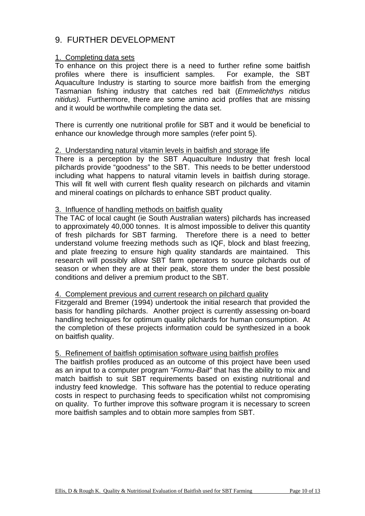# 9. FURTHER DEVELOPMENT

### 1. Completing data sets

To enhance on this project there is a need to further refine some baitfish profiles where there is insufficient samples. For example, the SBT Aquaculture Industry is starting to source more baitfish from the emerging Tasmanian fishing industry that catches red bait (*Emmelichthys nitidus nitidus).* Furthermore, there are some amino acid profiles that are missing and it would be worthwhile completing the data set.

There is currently one nutritional profile for SBT and it would be beneficial to enhance our knowledge through more samples (refer point 5).

### 2. Understanding natural vitamin levels in baitfish and storage life

There is a perception by the SBT Aquaculture Industry that fresh local pilchards provide "goodness" to the SBT. This needs to be better understood including what happens to natural vitamin levels in baitfish during storage. This will fit well with current flesh quality research on pilchards and vitamin and mineral coatings on pilchards to enhance SBT product quality.

#### 3. Influence of handling methods on baitfish quality

The TAC of local caught (ie South Australian waters) pilchards has increased to approximately 40,000 tonnes. It is almost impossible to deliver this quantity of fresh pilchards for SBT farming. Therefore there is a need to better understand volume freezing methods such as IQF, block and blast freezing, and plate freezing to ensure high quality standards are maintained. This research will possibly allow SBT farm operators to source pilchards out of season or when they are at their peak, store them under the best possible conditions and deliver a premium product to the SBT.

#### 4. Complement previous and current research on pilchard quality

Fitzgerald and Bremer (1994) undertook the initial research that provided the basis for handling pilchards. Another project is currently assessing on-board handling techniques for optimum quality pilchards for human consumption. At the completion of these projects information could be synthesized in a book on baitfish quality.

### 5. Refinement of baitfish optimisation software using baitfish profiles

The baitfish profiles produced as an outcome of this project have been used as an input to a computer program *"Formu-Bait"* that has the ability to mix and match baitfish to suit SBT requirements based on existing nutritional and industry feed knowledge. This software has the potential to reduce operating costs in respect to purchasing feeds to specification whilst not compromising on quality. To further improve this software program it is necessary to screen more baitfish samples and to obtain more samples from SBT.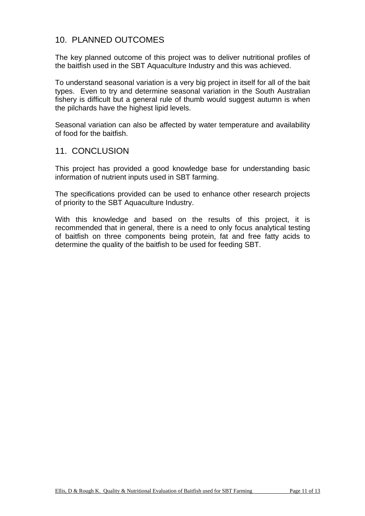# 10. PLANNED OUTCOMES

The key planned outcome of this project was to deliver nutritional profiles of the baitfish used in the SBT Aquaculture Industry and this was achieved.

To understand seasonal variation is a very big project in itself for all of the bait types. Even to try and determine seasonal variation in the South Australian fishery is difficult but a general rule of thumb would suggest autumn is when the pilchards have the highest lipid levels.

Seasonal variation can also be affected by water temperature and availability of food for the baitfish.

### 11. CONCLUSION

This project has provided a good knowledge base for understanding basic information of nutrient inputs used in SBT farming.

The specifications provided can be used to enhance other research projects of priority to the SBT Aquaculture Industry.

With this knowledge and based on the results of this project, it is recommended that in general, there is a need to only focus analytical testing of baitfish on three components being protein, fat and free fatty acids to determine the quality of the baitfish to be used for feeding SBT.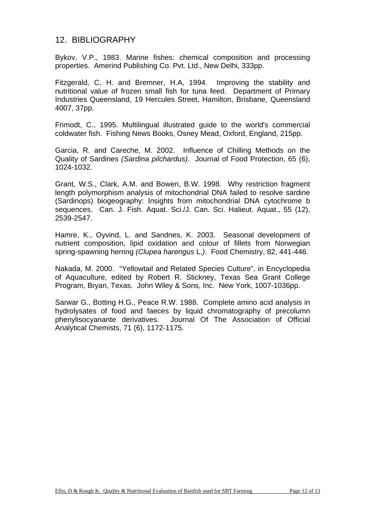### 12. BIBLIOGRAPHY

Bykov, V.P., 1983. Marine fishes: chemical composition and processing properties. Amerind Publishing Co. Pvt. Ltd., New Delhi, 333pp.

Fitzgerald, C, H. and Bremner, H.A, 1994. Improving the stability and nutritional value of frozen small fish for tuna feed. Department of Primary Industries Queensland, 19 Hercules Street, Hamilton, Brisbane, Queensland 4007, 37pp.

Frimodt, C., 1995. Multilingual illustrated guide to the world's commercial coldwater fish. Fishing News Books, Osney Mead, Oxford, England, 215pp.

Garcia, R. and Careche, M. 2002. Influence of Chilling Methods on the Quality of Sardines *(Sardina pilchardus)*. Journal of Food Protection, 65 (6), 1024-1032.

Grant, W.S., Clark, A.M. and Bowen, B.W. 1998. Why restriction fragment length polymorphism analysis of mitochondrial DNA failed to resolve sardine (Sardinops) biogeography: Insights from mitochondrial DNA cytochrome b sequences. Can. J. Fish. Aquat. Sci./J. Can. Sci. Halieut. Aquat., 55 (12), 2539-2547.

Hamre, K., Oyvind, L. and Sandnes, K. 2003. Seasonal development of nutrient composition, lipid oxidation and colour of fillets from Norwegian spring-spawning herring *(Clupea harengus* L.*)*. Food Chemistry, 82, 441-446.

Nakada, M. 2000. "Yellowtail and Related Species Culture", in Encyclopedia of Aquaculture, edited by Robert R. Stickney, Texas Sea Grant College Program, Bryan, Texas. John Wiley & Sons, Inc. New York, 1007-1036pp.

Sarwar G., Botting H.G., Peace R.W. 1988. Complete amino acid analysis in hydrolysates of food and faeces by liquid chromatography of precolumn phenylisocyanante derivatives. Journal Of The Association of Official Analytical Chemists, 71 (6), 1172-1175.